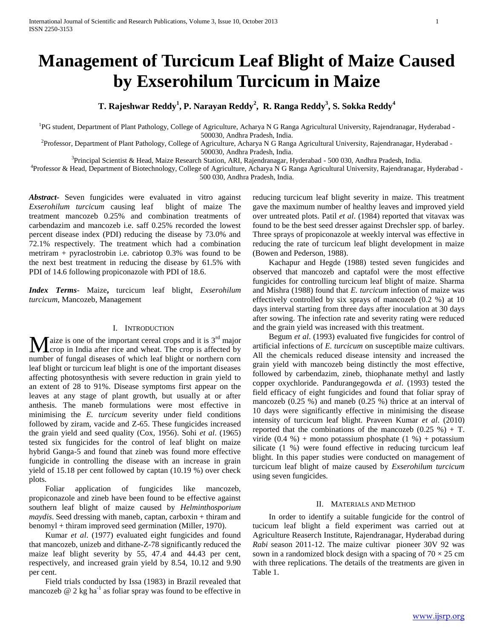# **Management of Turcicum Leaf Blight of Maize Caused by Exserohilum Turcicum in Maize**

**T. Rajeshwar Reddy<sup>1</sup> , P. Narayan Reddy<sup>2</sup> , R. Ranga Reddy<sup>3</sup> , S. Sokka Reddy<sup>4</sup>**

<sup>1</sup>PG student, Department of Plant Pathology, College of Agriculture, Acharya N G Ranga Agricultural University, Rajendranagar, Hyderabad -500030, Andhra Pradesh, India.

<sup>2</sup> Professor, Department of Plant Pathology, College of Agriculture, Acharya N G Ranga Agricultural University, Rajendranagar, Hyderabad -500030, Andhra Pradesh, India.

3 Principal Scientist & Head, Maize Research Station, ARI, Rajendranagar, Hyderabad - 500 030, Andhra Pradesh, India.

4 Professor & Head, Department of Biotechnology, College of Agriculture, Acharya N G Ranga Agricultural University, Rajendranagar, Hyderabad - 500 030, Andhra Pradesh, India.

*Abstract***-** Seven fungicides were evaluated in vitro against *Exserohilum turcicum* causing leaf blight of maize The treatment mancozeb 0.25% and combination treatments of carbendazim and mancozeb i.e. saff 0.25% recorded the lowest percent disease index (PDI) reducing the disease by 73.0% and 72.1% respectively. The treatment which had a combination metriram + pyraclostrobin i.e. cabriotop 0.3% was found to be the next best treatment in reducing the disease by 61.5% with PDI of 14.6 following propiconazole with PDI of 18.6.

*Index Terms*- Maize**,** turcicum leaf blight, *Exserohilum turcicum,* Mancozeb, Management

# I. INTRODUCTION

 $\int$  aize is one of the important cereal crops and it is 3<sup>rd</sup> major  $\mathbf{M}$ aize is one of the important cereal crops and it is  $3^{\text{rd}}$  major crop in India after rice and wheat. The crop is affected by number of fungal diseases of which leaf blight or northern corn leaf blight or turcicum leaf blight is one of the important diseases affecting photosynthesis with severe reduction in grain yield to an extent of 28 to 91%. Disease symptoms first appear on the leaves at any stage of plant growth, but usually at or after anthesis. The maneb formulations were most effective in minimising the *E. turcicum* severity under field conditions followed by ziram, vacide and Z-65. These fungicides increased the grain yield and seed quality (Cox, 1956). Sohi *et al*. (1965) tested six fungicides for the control of leaf blight on maize hybrid Ganga-5 and found that zineb was found more effective fungicide in controlling the disease with an increase in grain yield of 15.18 per cent followed by captan (10.19 %) over check plots.

 Foliar application of fungicides like mancozeb, propiconazole and zineb have been found to be effective against southern leaf blight of maize caused by *Helminthosporium maydis*. Seed dressing with maneb, captan, carboxin + thiram and benomyl + thiram improved seed germination (Miller, 1970).

 Kumar *et al*. (1977) evaluated eight fungicides and found that mancozeb, unizeb and dithane-Z-78 significantly reduced the maize leaf blight severity by 55, 47.4 and 44.43 per cent, respectively, and increased grain yield by 8.54, 10.12 and 9.90 per cent.

 Field trials conducted by Issa (1983) in Brazil revealed that mancozeb  $\omega$  2 kg ha<sup>-1</sup> as foliar spray was found to be effective in reducing turcicum leaf blight severity in maize. This treatment gave the maximum number of healthy leaves and improved yield over untreated plots. Patil *et al*. (1984) reported that vitavax was found to be the best seed dresser against Drechsler spp. of barley. Three sprays of propiconazole at weekly interval was effective in reducing the rate of turcicum leaf blight development in maize (Bowen and Pederson, 1988).

 Kachapur and Hegde (1988) tested seven fungicides and observed that mancozeb and captafol were the most effective fungicides for controlling turcicum leaf blight of maize. Sharma and Mishra (1988) found that *E. turcicum* infection of maize was effectively controlled by six sprays of mancozeb (0.2 %) at 10 days interval starting from three days after inoculation at 30 days after sowing. The infection rate and severity rating were reduced and the grain yield was increased with this treatment.

 Begum *et al*. (1993) evaluated five fungicides for control of artificial infections of *E. turcicum* on susceptible maize cultivars. All the chemicals reduced disease intensity and increased the grain yield with mancozeb being distinctly the most effective, followed by carbendazim, zineb, thiophanate methyl and lastly copper oxychloride. Pandurangegowda *et al*. (1993) tested the field efficacy of eight fungicides and found that foliar spray of mancozeb (0.25 %) and maneb (0.25 %) thrice at an interval of 10 days were significantly effective in minimising the disease intensity of turcicum leaf blight. Praveen Kumar *et al*. (2010) reported that the combinations of the mancozeb  $(0.25 \%) + T$ . viride  $(0.4 %) +$  mono potassium phosphate  $(1 %) +$  potassium silicate (1 %) were found effective in reducing turcicum leaf blight. In this paper studies were conducted on management of turcicum leaf blight of maize caused by *Exserohilum turcicum*  using seven fungicides*.*

## II. MATERIALS AND METHOD

 In order to identify a suitable fungicide for the control of tucicum leaf blight a field experiment was carried out at Agriculture Reaserch Institute, Rajendranagar, Hyderabad during *Rabi* season 2011-12. The maize cultivar pioneer 30V 92 was sown in a randomized block design with a spacing of  $70 \times 25$  cm with three replications. The details of the treatments are given in Table 1.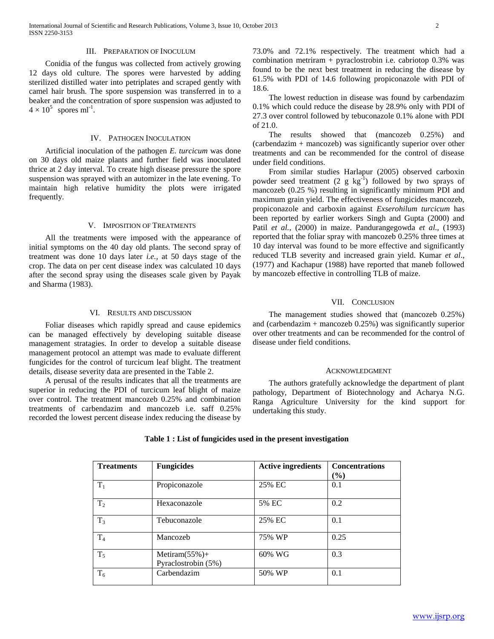#### III. PREPARATION OF INOCULUM

 Conidia of the fungus was collected from actively growing 12 days old culture. The spores were harvested by adding sterilized distilled water into petriplates and scraped gently with camel hair brush. The spore suspension was transferred in to a beaker and the concentration of spore suspension was adjusted to  $4 \times 10^5$  spores ml<sup>-1</sup>.

# IV. PATHOGEN INOCULATION

 Artificial inoculation of the pathogen *E. turcicum* was done on 30 days old maize plants and further field was inoculated thrice at 2 day interval. To create high disease pressure the spore suspension was sprayed with an automizer in the late evening. To maintain high relative humidity the plots were irrigated frequently.

## V. IMPOSITION OF TREATMENTS

 All the treatments were imposed with the appearance of initial symptoms on the 40 day old plants. The second spray of treatment was done 10 days later *i.e.,* at 50 days stage of the crop. The data on per cent disease index was calculated 10 days after the second spray using the diseases scale given by Payak and Sharma (1983).

#### VI. RESULTS AND DISCUSSION

 Foliar diseases which rapidly spread and cause epidemics can be managed effectively by developing suitable disease management stratagies. In order to develop a suitable disease management protocol an attempt was made to evaluate different fungicides for the control of turcicum leaf blight. The treatment details, disease severity data are presented in the Table 2.

 A perusal of the results indicates that all the treatments are superior in reducing the PDI of turcicum leaf blight of maize over control. The treatment mancozeb 0.25% and combination treatments of carbendazim and mancozeb i.e. saff 0.25% recorded the lowest percent disease index reducing the disease by

73.0% and 72.1% respectively. The treatment which had a combination metriram + pyraclostrobin i.e. cabriotop 0.3% was found to be the next best treatment in reducing the disease by 61.5% with PDI of 14.6 following propiconazole with PDI of 18.6.

 The lowest reduction in disease was found by carbendazim 0.1% which could reduce the disease by 28.9% only with PDI of 27.3 over control followed by tebuconazole 0.1% alone with PDI of 21.0.

 The results showed that (mancozeb 0.25%) and (carbendazim + mancozeb) was significantly superior over other treatments and can be recommended for the control of disease under field conditions.

 From similar studies Harlapur (2005) observed carboxin powder seed treatment  $(2 \text{ g kg}^{-1})$  followed by two sprays of mancozeb (0.25 %) resulting in significantly minimum PDI and maximum grain yield. The effectiveness of fungicides mancozeb, propiconazole and carboxin against *Exserohilum turcicum* has been reported by earlier workers Singh and Gupta (2000) and Patil *et al.,* (2000) in maize. Pandurangegowda *et al.,* (1993) reported that the foliar spray with mancozeb 0.25% three times at 10 day interval was found to be more effective and significantly reduced TLB severity and increased grain yield. Kumar *et al*., (1977) and Kachapur (1988) have reported that maneb followed by mancozeb effective in controlling TLB of maize.

### VII. CONCLUSION

 The management studies showed that (mancozeb 0.25%) and (carbendazim + mancozeb 0.25%) was significantly superior over other treatments and can be recommended for the control of disease under field conditions.

#### ACKNOWLEDGMENT

 The authors gratefully acknowledge the department of plant pathology, Department of Biotechnology and Acharya N.G. Ranga Agriculture University for the kind support for undertaking this study.

| <b>Treatments</b> | <b>Fungicides</b>                        | <b>Active ingredients</b> | <b>Concentrations</b> |
|-------------------|------------------------------------------|---------------------------|-----------------------|
|                   |                                          |                           | $($ %)                |
| $T_1$             | Propiconazole                            | 25% EC                    | 0.1                   |
| T <sub>2</sub>    | Hexaconazole                             | 5% EC                     | 0.2                   |
| $T_3$             | Tebuconazole                             | 25% EC                    | 0.1                   |
| T <sub>4</sub>    | Mancozeb                                 | 75% WP                    | 0.25                  |
| $T_5$             | Metiram $(55\%)+$<br>Pyraclostrobin (5%) | 60% WG                    | 0.3                   |
| $T_6$             | Carbendazim                              | 50% WP                    | 0.1                   |

# **Table 1 : List of fungicides used in the present investigation**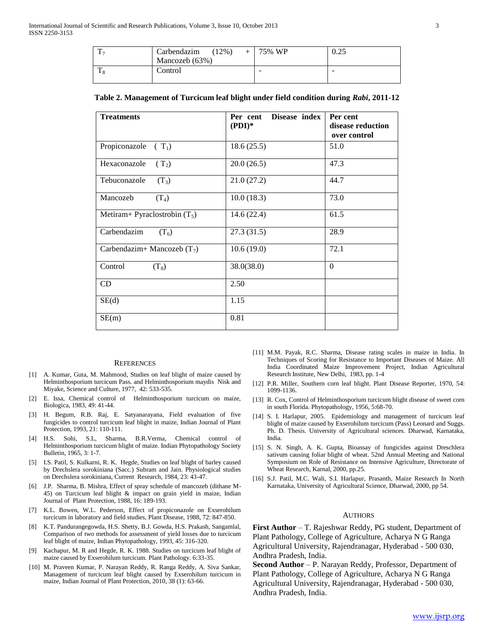| m | Carbendazim<br>$(12\%)$ | 75% WP | 0.25                     |
|---|-------------------------|--------|--------------------------|
|   | Mancozeb (63%)          |        |                          |
| m | Control                 | -      | $\overline{\phantom{a}}$ |

# **Table 2. Management of Turcicum leaf blight under field condition during** *Rabi***, 2011-12**

| <b>Treatments</b>               | Disease index<br>Per cent<br>$( PDI)*$ | Per cent<br>disease reduction<br>over control |
|---------------------------------|----------------------------------------|-----------------------------------------------|
| Propiconazole<br>$(T_1)$        | 18.6(25.5)                             | 51.0                                          |
| $(T_2)$<br>Hexaconazole         | 20.0(26.5)                             | 47.3                                          |
| Tebuconazole<br>$(T_3)$         | 21.0(27.2)                             | 44.7                                          |
| Mancozeb<br>$(T_4)$             | 10.0(18.3)                             | 73.0                                          |
| Metiram+ Pyraclostrobin $(T_5)$ | 14.6(22.4)                             | 61.5                                          |
| Carbendazim<br>$(T_6)$          | 27.3(31.5)                             | 28.9                                          |
| Carbendazim+ Mancozeb $(T_7)$   | 10.6(19.0)                             | 72.1                                          |
| Control<br>$(T_8)$              | 38.0(38.0)                             | $\Omega$                                      |
| CD                              | 2.50                                   |                                               |
| SE(d)                           | 1.15                                   |                                               |
| SE(m)                           | 0.81                                   |                                               |

#### **REFERENCES**

- [1] A. Kumar, Guta, M. Mahmood, Studies on leaf blight of maize caused by Helminthosporium turcicum Pass. and Helminthosporium maydis Nisk and Miyake, Science and Culture, 1977, 42: 533-535.
- [2] E. Issa, Chemical control of Helminthosporium turcicum on maize, Biologica, 1983, 49: 41-44.
- H. Begum, R.B. Raj, E. Satyanarayana, Field evaluation of five fungicides to control turcicum leaf blight in maize, Indian Journal of Plant Protection, 1993, 21: 110-111.
- [4] H.S. Sohi, S.L, Sharma, B.R.Verma, Chemical control of Helminthosporium turcicum blight of maize. Indian Phytopathology Society Bulletin, 1965, 3: 1-7.
- [5] I.S. Patil, S. Kulkarni, R. K. Hegde, Studies on leaf blight of barley caused by Drechslera sorokiniana (Sacc.) Subram and Jain. Physiological studies on Drechslera sorokiniana, Current Research, 1984, 23: 43-47.
- [6] J.P. Sharma, B. Mishra, Effect of spray schedule of mancozeb (dithane M-45) on Turcicum leaf blight & impact on grain yield in maize, Indian Journal of Plant Protection, 1988, 16: 189-193.
- [7] K.L. Bowen, W.L. Pederson, Effect of propiconazole on Exserohilum turcicum in laboratory and field studies, Plant Disease, 1988, 72: 847-850.
- [8] K.T. Pandurangegowda, H.S. Shetty, B.J. Gowda, H.S. Prakash, Sangamlal, Comparison of two methods for assessment of yield losses due to turcicum leaf blight of maize, Indian Phytopathology, 1993, 45: 316-320.
- [9] Kachapur, M. R and Hegde, R. K. 1988. Studies on turcicum leaf blight of maize caused by Exserohilum turcicum. Plant Pathology. 6:33-35.
- [10] M. Praveen Kumar, P. Narayan Reddy, R. Ranga Reddy, A. Siva Sankar, Management of turcicum leaf blight caused by Exserohilum turcicum in maize, Indian Journal of Plant Protection, 2010, 38 (1): 63-66.
- [11] M.M. Payak, R.C. Sharma, Disease rating scales in maize in India. In Techniques of Scoring for Resistance to Important Diseases of Maize. All India Coordinated Maize Improvement Project, Indian Agricultural Research Institute, New Delhi, 1983, pp. 1-4
- [12] P.R. Miller, Southern corn leaf blight. Plant Disease Reporter, 1970, 54: 1099-1136.
- [13] R. Cox, Control of Helminthosporium turcicum blight disease of sweet corn in south Florida. Phytopathology, 1956, 5:68-70.
- [14] S. I. Harlapur, 2005. Epidemiology and management of turcicum leaf blight of maize caused by Exserohilum turcicum (Pass) Leonard and Suggs. Ph. D. Thesis. University of Agricultural sciences. Dharwad, Karnataka, India.
- [15] S. N. Singh, A. K. Gupta, Bioassay of fungicides against Dreschlera sativum causing foliar blight of wheat. 52nd Annual Meeting and National Symposium on Role of Resistance on Intensive Agriculture, Directorate of Wheat Research, Karnal, 2000, pp.25.
- [16] S.J. Patil, M.C. Wali, S.I. Harlapur, Prasanth, Maize Research In North Karnataka, University of Agricultural Science, Dharwad, 2000, pp 54.

#### AUTHORS

**First Author** – T. Rajeshwar Reddy, PG student, Department of Plant Pathology, College of Agriculture, Acharya N G Ranga Agricultural University, Rajendranagar, Hyderabad - 500 030, Andhra Pradesh, India.

**Second Author** – P. Narayan Reddy, Professor, Department of Plant Pathology, College of Agriculture, Acharya N G Ranga Agricultural University, Rajendranagar, Hyderabad - 500 030, Andhra Pradesh, India.